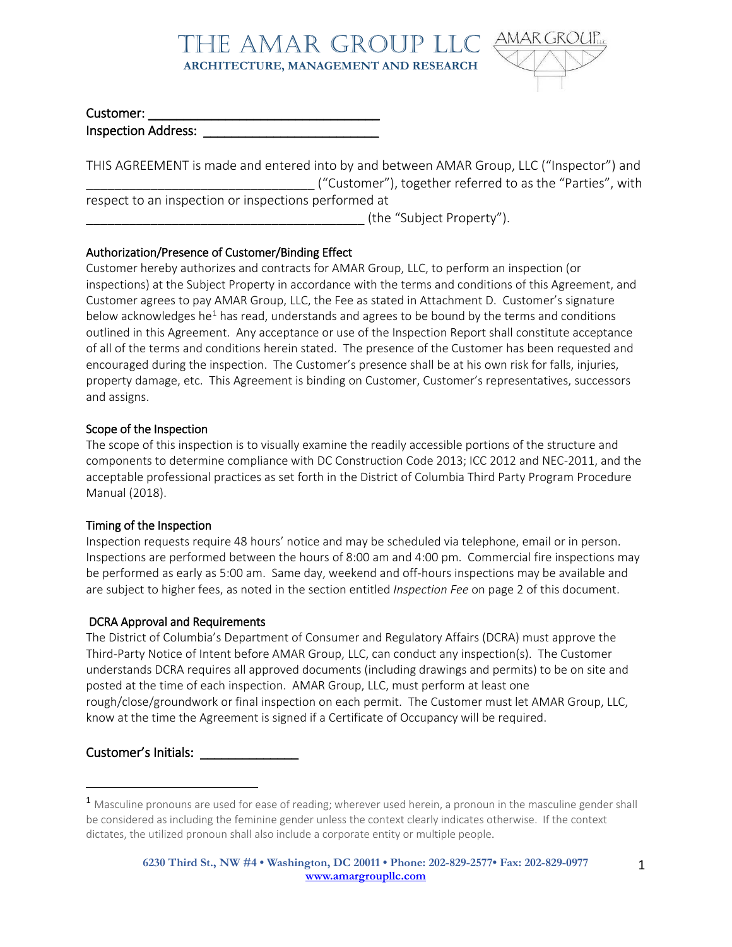

#### Customer:

Inspection Address:

THIS AGREEMENT is made and entered into by and between AMAR Group, LLC ("Inspector") and \_\_\_\_\_\_\_\_\_\_\_\_\_\_\_\_\_\_\_\_\_\_\_\_\_\_\_\_\_\_\_\_ ("Customer"), together referred to as the "Parties", with respect to an inspection or inspections performed at (the "Subject Property").

### Authorization/Presence of Customer/Binding Effect

Customer hereby authorizes and contracts for AMAR Group, LLC, to perform an inspection (or inspections) at the Subject Property in accordance with the terms and conditions of this Agreement, and Customer agrees to pay AMAR Group, LLC, the Fee as stated in Attachment D. Customer's signature below acknowledges he<sup>[1](#page-0-0)</sup> has read, understands and agrees to be bound by the terms and conditions outlined in this Agreement. Any acceptance or use of the Inspection Report shall constitute acceptance of all of the terms and conditions herein stated. The presence of the Customer has been requested and encouraged during the inspection. The Customer's presence shall be at his own risk for falls, injuries, property damage, etc. This Agreement is binding on Customer, Customer's representatives, successors and assigns.

#### Scope of the Inspection

The scope of this inspection is to visually examine the readily accessible portions of the structure and components to determine compliance with DC Construction Code 2013; ICC 2012 and NEC-2011, and the acceptable professional practices as set forth in the District of Columbia Third Party Program Procedure Manual (2018).

#### Timing of the Inspection

Inspection requests require 48 hours' notice and may be scheduled via telephone, email or in person. Inspections are performed between the hours of 8:00 am and 4:00 pm. Commercial fire inspections may be performed as early as 5:00 am. Same day, weekend and off-hours inspections may be available and are subject to higher fees, as noted in the section entitled *Inspection Fee* on page 2 of this document.

#### DCRA Approval and Requirements

The District of Columbia's Department of Consumer and Regulatory Affairs (DCRA) must approve the Third-Party Notice of Intent before AMAR Group, LLC, can conduct any inspection(s). The Customer understands DCRA requires all approved documents (including drawings and permits) to be on site and posted at the time of each inspection. AMAR Group, LLC, must perform at least one rough/close/groundwork or final inspection on each permit. The Customer must let AMAR Group, LLC, know at the time the Agreement is signed if a Certificate of Occupancy will be required.

## Customer's Initials: \_\_\_\_\_\_\_\_\_\_\_\_\_\_

<span id="page-0-0"></span><sup>&</sup>lt;sup>1</sup> Masculine pronouns are used for ease of reading; wherever used herein, a pronoun in the masculine gender shall be considered as including the feminine gender unless the context clearly indicates otherwise. If the context dictates, the utilized pronoun shall also include a corporate entity or multiple people.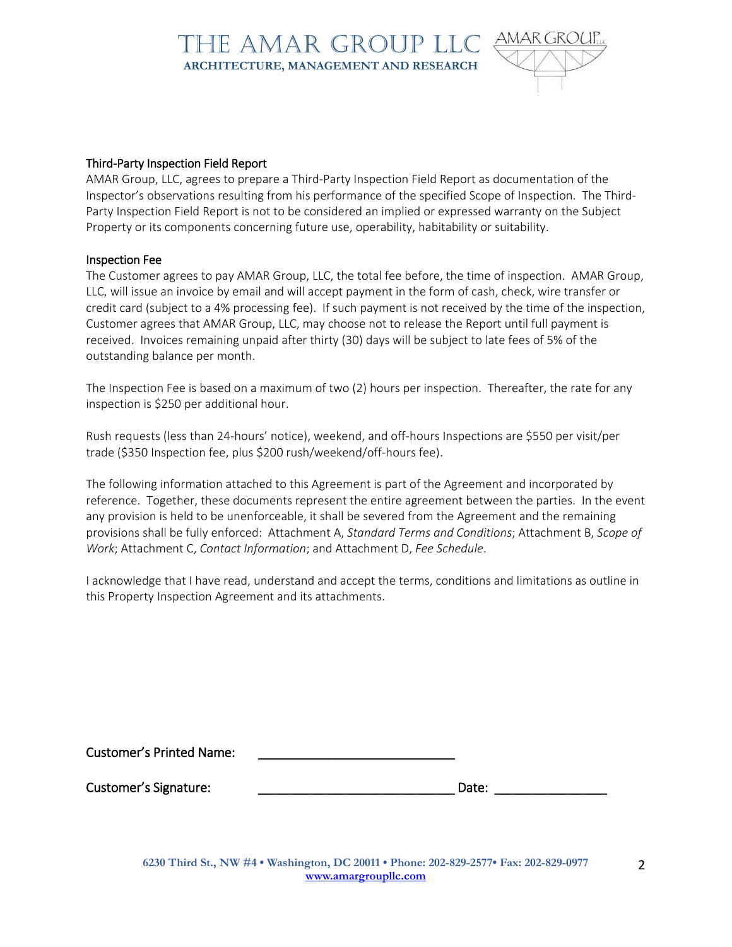

#### Third-Party Inspection Field Report

AMAR Group, LLC, agrees to prepare a Third-Party Inspection Field Report as documentation of the Inspector's observations resulting from his performance of the specified Scope of Inspection. The Third-Party Inspection Field Report is not to be considered an implied or expressed warranty on the Subject Property or its components concerning future use, operability, habitability or suitability.

#### Inspection Fee

The Customer agrees to pay AMAR Group, LLC, the total fee before, the time of inspection. AMAR Group, LLC, will issue an invoice by email and will accept payment in the form of cash, check, wire transfer or credit card (subject to a 4% processing fee). If such payment is not received by the time of the inspection, Customer agrees that AMAR Group, LLC, may choose not to release the Report until full payment is received. Invoices remaining unpaid after thirty (30) days will be subject to late fees of 5% of the outstanding balance per month.

The Inspection Fee is based on a maximum of two (2) hours per inspection. Thereafter, the rate for any inspection is \$250 per additional hour.

Rush requests (less than 24-hours' notice), weekend, and off-hours Inspections are \$550 per visit/per trade (\$350 Inspection fee, plus \$200 rush/weekend/off-hours fee).

The following information attached to this Agreement is part of the Agreement and incorporated by reference. Together, these documents represent the entire agreement between the parties. In the event any provision is held to be unenforceable, it shall be severed from the Agreement and the remaining provisions shall be fully enforced: Attachment A, *Standard Terms and Conditions*; Attachment B, *Scope of Work*; Attachment C, *Contact Information*; and Attachment D, *Fee Schedule*.

I acknowledge that I have read, understand and accept the terms, conditions and limitations as outline in this Property Inspection Agreement and its attachments.

Customer's Printed Name:

Customer's Signature: \_\_\_\_\_\_\_\_\_\_\_\_\_\_\_\_\_\_\_\_\_\_\_\_\_\_\_\_ Date: \_\_\_\_\_\_\_\_\_\_\_\_\_\_\_\_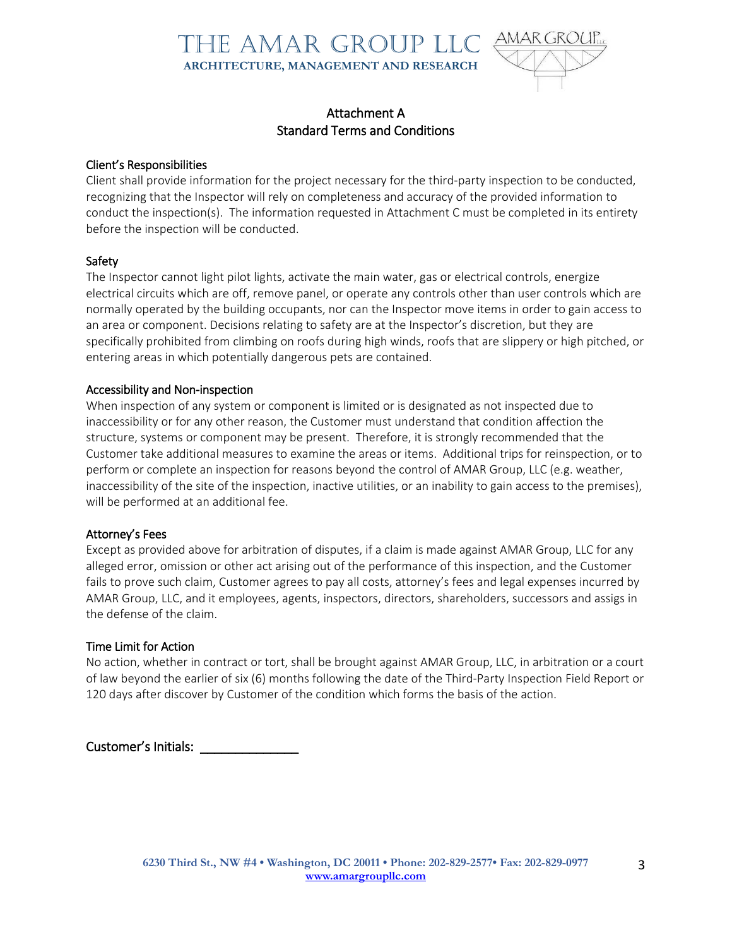

## Attachment A Standard Terms and Conditions

#### Client's Responsibilities

Client shall provide information for the project necessary for the third-party inspection to be conducted, recognizing that the Inspector will rely on completeness and accuracy of the provided information to conduct the inspection(s). The information requested in Attachment C must be completed in its entirety before the inspection will be conducted.

#### Safety

The Inspector cannot light pilot lights, activate the main water, gas or electrical controls, energize electrical circuits which are off, remove panel, or operate any controls other than user controls which are normally operated by the building occupants, nor can the Inspector move items in order to gain access to an area or component. Decisions relating to safety are at the Inspector's discretion, but they are specifically prohibited from climbing on roofs during high winds, roofs that are slippery or high pitched, or entering areas in which potentially dangerous pets are contained.

#### Accessibility and Non-inspection

When inspection of any system or component is limited or is designated as not inspected due to inaccessibility or for any other reason, the Customer must understand that condition affection the structure, systems or component may be present. Therefore, it is strongly recommended that the Customer take additional measures to examine the areas or items. Additional trips for reinspection, or to perform or complete an inspection for reasons beyond the control of AMAR Group, LLC (e.g. weather, inaccessibility of the site of the inspection, inactive utilities, or an inability to gain access to the premises), will be performed at an additional fee.

#### Attorney's Fees

Except as provided above for arbitration of disputes, if a claim is made against AMAR Group, LLC for any alleged error, omission or other act arising out of the performance of this inspection, and the Customer fails to prove such claim, Customer agrees to pay all costs, attorney's fees and legal expenses incurred by AMAR Group, LLC, and it employees, agents, inspectors, directors, shareholders, successors and assigs in the defense of the claim.

#### Time Limit for Action

No action, whether in contract or tort, shall be brought against AMAR Group, LLC, in arbitration or a court of law beyond the earlier of six (6) months following the date of the Third-Party Inspection Field Report or 120 days after discover by Customer of the condition which forms the basis of the action.

Customer's Initials:

3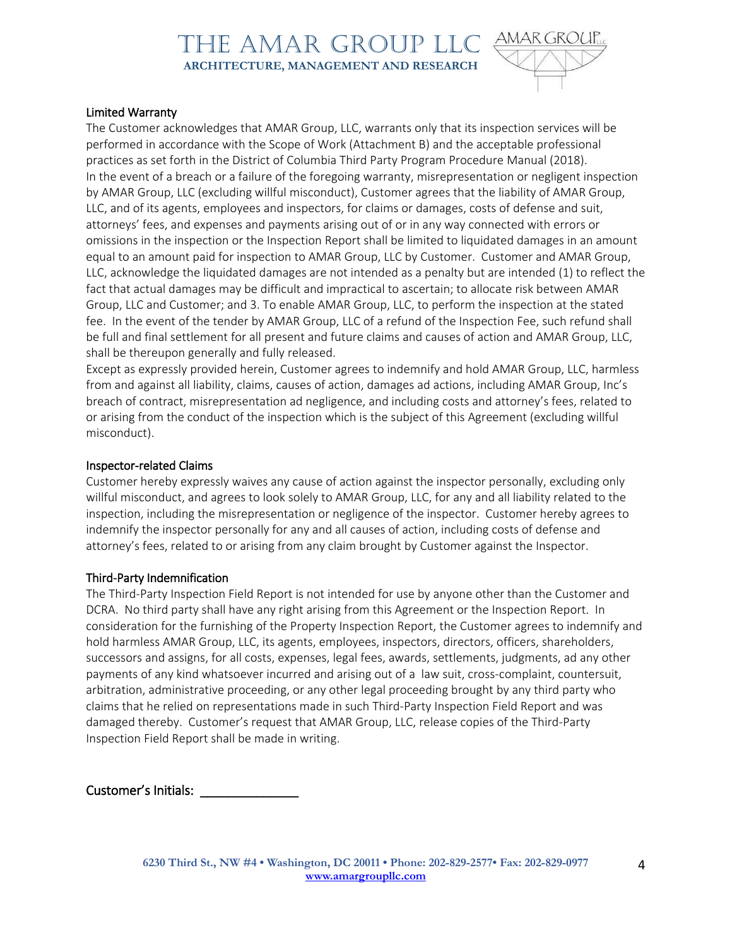

#### Limited Warranty

The Customer acknowledges that AMAR Group, LLC, warrants only that its inspection services will be performed in accordance with the Scope of Work (Attachment B) and the acceptable professional practices as set forth in the District of Columbia Third Party Program Procedure Manual (2018). In the event of a breach or a failure of the foregoing warranty, misrepresentation or negligent inspection by AMAR Group, LLC (excluding willful misconduct), Customer agrees that the liability of AMAR Group, LLC, and of its agents, employees and inspectors, for claims or damages, costs of defense and suit, attorneys' fees, and expenses and payments arising out of or in any way connected with errors or omissions in the inspection or the Inspection Report shall be limited to liquidated damages in an amount equal to an amount paid for inspection to AMAR Group, LLC by Customer. Customer and AMAR Group, LLC, acknowledge the liquidated damages are not intended as a penalty but are intended (1) to reflect the fact that actual damages may be difficult and impractical to ascertain; to allocate risk between AMAR Group, LLC and Customer; and 3. To enable AMAR Group, LLC, to perform the inspection at the stated fee. In the event of the tender by AMAR Group, LLC of a refund of the Inspection Fee, such refund shall be full and final settlement for all present and future claims and causes of action and AMAR Group, LLC, shall be thereupon generally and fully released.

Except as expressly provided herein, Customer agrees to indemnify and hold AMAR Group, LLC, harmless from and against all liability, claims, causes of action, damages ad actions, including AMAR Group, Inc's breach of contract, misrepresentation ad negligence, and including costs and attorney's fees, related to or arising from the conduct of the inspection which is the subject of this Agreement (excluding willful misconduct).

#### Inspector-related Claims

Customer hereby expressly waives any cause of action against the inspector personally, excluding only willful misconduct, and agrees to look solely to AMAR Group, LLC, for any and all liability related to the inspection, including the misrepresentation or negligence of the inspector. Customer hereby agrees to indemnify the inspector personally for any and all causes of action, including costs of defense and attorney's fees, related to or arising from any claim brought by Customer against the Inspector.

#### Third-Party Indemnification

The Third-Party Inspection Field Report is not intended for use by anyone other than the Customer and DCRA. No third party shall have any right arising from this Agreement or the Inspection Report. In consideration for the furnishing of the Property Inspection Report, the Customer agrees to indemnify and hold harmless AMAR Group, LLC, its agents, employees, inspectors, directors, officers, shareholders, successors and assigns, for all costs, expenses, legal fees, awards, settlements, judgments, ad any other payments of any kind whatsoever incurred and arising out of a law suit, cross-complaint, countersuit, arbitration, administrative proceeding, or any other legal proceeding brought by any third party who claims that he relied on representations made in such Third-Party Inspection Field Report and was damaged thereby. Customer's request that AMAR Group, LLC, release copies of the Third-Party Inspection Field Report shall be made in writing.

Customer's Initials: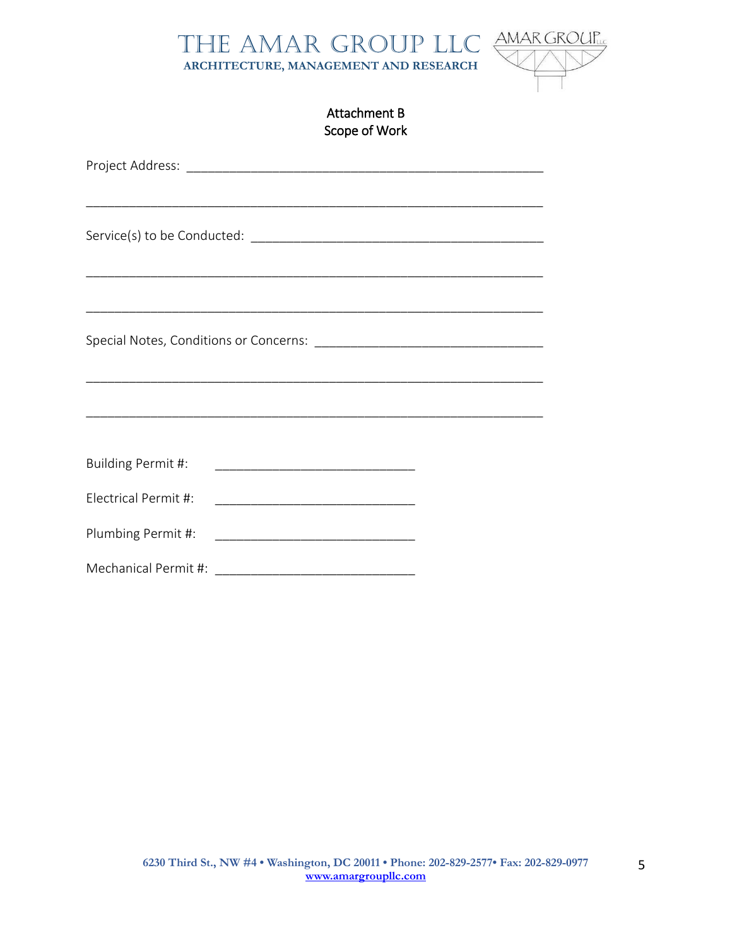



## Attachment B Scope of Work

| Building Permit #:   |  |
|----------------------|--|
| Electrical Permit #: |  |
| Plumbing Permit #:   |  |
| Mechanical Permit #: |  |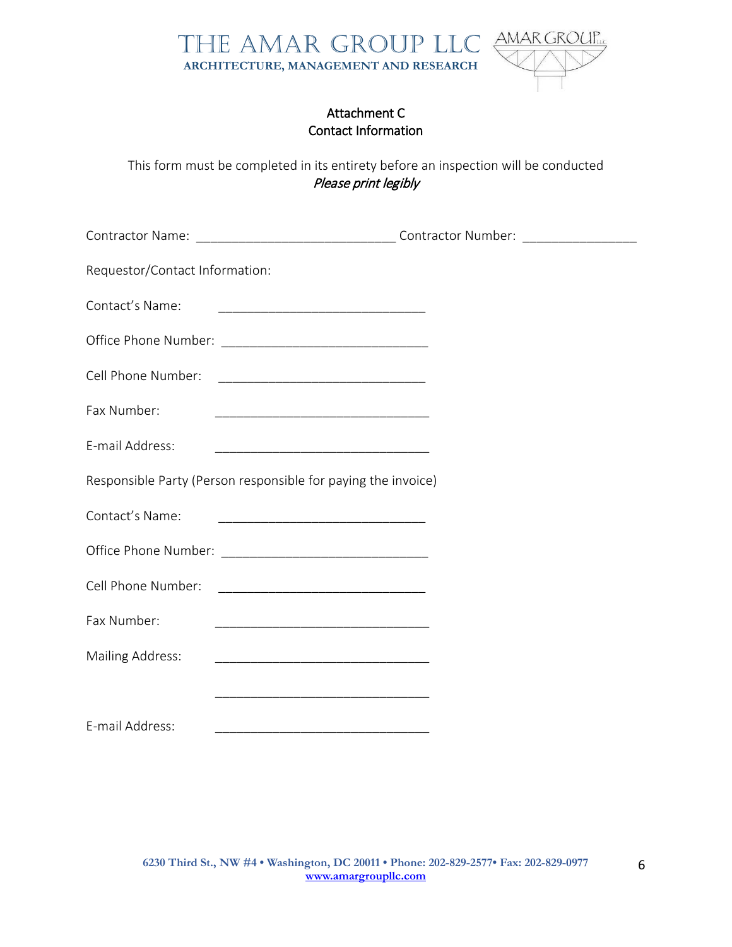

## Attachment C Contact Information

This form must be completed in its entirety before an inspection will be conducted Please print legibly

| Requestor/Contact Information: |                                                               |  |
|--------------------------------|---------------------------------------------------------------|--|
| Contact's Name:                |                                                               |  |
|                                |                                                               |  |
| Cell Phone Number:             |                                                               |  |
| Fax Number:                    |                                                               |  |
| E-mail Address:                |                                                               |  |
|                                | Responsible Party (Person responsible for paying the invoice) |  |
| Contact's Name:                |                                                               |  |
|                                |                                                               |  |
| Cell Phone Number:             | <u> 1980 - Jan Barnett, fransk politik (d. 1980)</u>          |  |
| Fax Number:                    |                                                               |  |
| <b>Mailing Address:</b>        |                                                               |  |
|                                |                                                               |  |
| E-mail Address:                |                                                               |  |